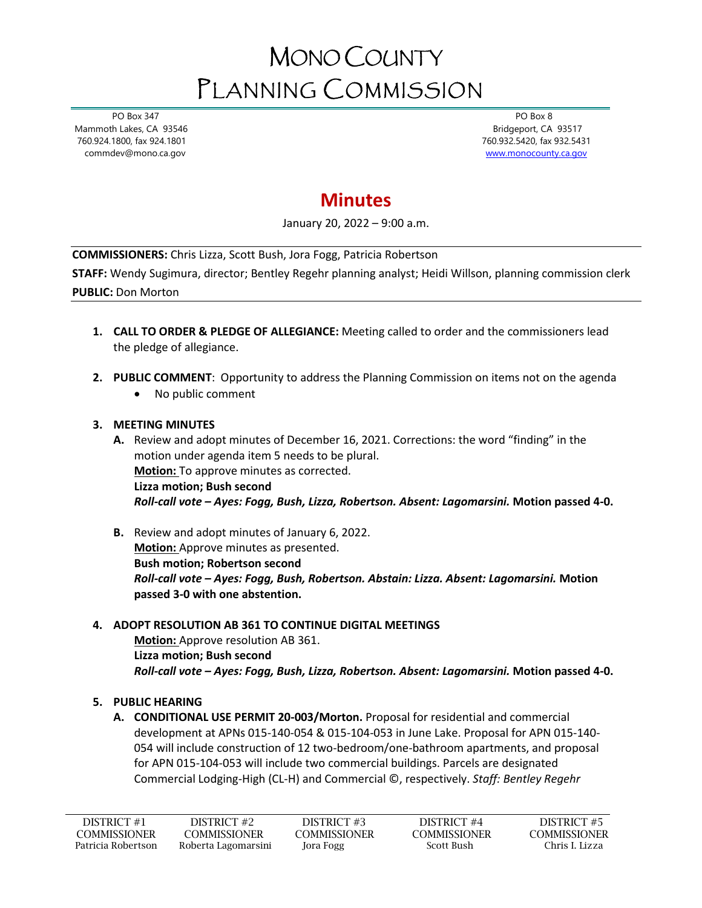# MONO COUNTY PLANNING COMMISSION

 PO Box 347 Mammoth Lakes, CA 93546 760.924.1800, fax 924.1801 commdev@mono.ca.gov

 PO Box 8 Bridgeport, CA 93517 760.932.5420, fax 932.5431 [www.monocounty.ca.gov](http://www.monocounty.ca.gov/) 

## **Minutes**

January 20, 2022 – 9:00 a.m.

**COMMISSIONERS:** Chris Lizza, Scott Bush, Jora Fogg, Patricia Robertson

**STAFF:** Wendy Sugimura, director; Bentley Regehr planning analyst; Heidi Willson, planning commission clerk **PUBLIC:** Don Morton

- **1. CALL TO ORDER & PLEDGE OF ALLEGIANCE:** Meeting called to order and the commissioners lead the pledge of allegiance.
- **2. PUBLIC COMMENT**: Opportunity to address the Planning Commission on items not on the agenda
	- No public comment

#### **3. MEETING MINUTES**

- **A.** Review and adopt minutes of December 16, 2021. Corrections: the word "finding" in the motion under agenda item 5 needs to be plural. **Motion:** To approve minutes as corrected. **Lizza motion; Bush second** *Roll-call vote – Ayes: Fogg, Bush, Lizza, Robertson. Absent: Lagomarsini.* **Motion passed 4-0.**
- **B.** Review and adopt minutes of January 6, 2022. **Motion:** Approve minutes as presented. **Bush motion; Robertson second** *Roll-call vote – Ayes: Fogg, Bush, Robertson. Abstain: Lizza. Absent: Lagomarsini.* **Motion passed 3-0 with one abstention.**

### **4. ADOPT RESOLUTION AB 361 TO CONTINUE DIGITAL MEETINGS**

**Motion:** Approve resolution AB 361. **Lizza motion; Bush second** *Roll-call vote – Ayes: Fogg, Bush, Lizza, Robertson. Absent: Lagomarsini.* **Motion passed 4-0.**

### **5. PUBLIC HEARING**

**A. CONDITIONAL USE PERMIT 20-003/Morton.** Proposal for residential and commercial development at APNs 015-140-054 & 015-104-053 in June Lake. Proposal for APN 015-140- 054 will include construction of 12 two-bedroom/one-bathroom apartments, and proposal for APN 015-104-053 will include two commercial buildings. Parcels are designated Commercial Lodging-High (CL-H) and Commercial ©, respectively. *Staff: Bentley Regehr*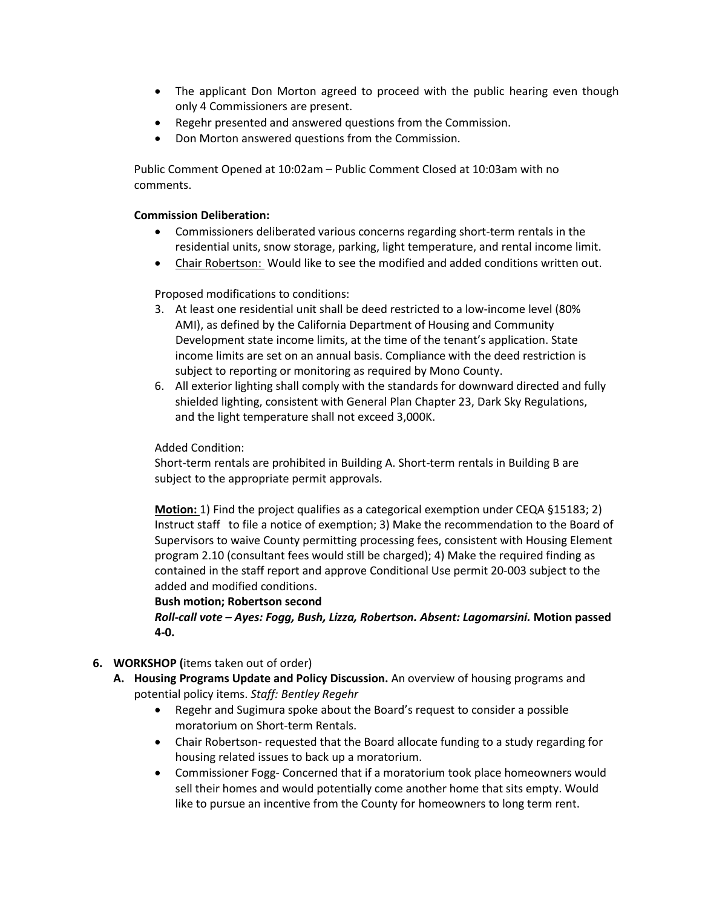- The applicant Don Morton agreed to proceed with the public hearing even though only 4 Commissioners are present.
- Regehr presented and answered questions from the Commission.
- Don Morton answered questions from the Commission.

Public Comment Opened at 10:02am – Public Comment Closed at 10:03am with no comments.

#### **Commission Deliberation:**

- Commissioners deliberated various concerns regarding short-term rentals in the residential units, snow storage, parking, light temperature, and rental income limit.
- Chair Robertson: Would like to see the modified and added conditions written out.

Proposed modifications to conditions:

- 3. At least one residential unit shall be deed restricted to a low-income level (80% AMI), as defined by the California Department of Housing and Community Development state income limits, at the time of the tenant's application. State income limits are set on an annual basis. Compliance with the deed restriction is subject to reporting or monitoring as required by Mono County.
- 6. All exterior lighting shall comply with the standards for downward directed and fully shielded lighting, consistent with General Plan Chapter 23, Dark Sky Regulations, and the light temperature shall not exceed 3,000K.

Added Condition:

Short-term rentals are prohibited in Building A. Short-term rentals in Building B are subject to the appropriate permit approvals.

**Motion:** 1) Find the project qualifies as a categorical exemption under CEQA §15183; 2) Instruct staff to file a notice of exemption; 3) Make the recommendation to the Board of Supervisors to waive County permitting processing fees, consistent with Housing Element program 2.10 (consultant fees would still be charged); 4) Make the required finding as contained in the staff report and approve Conditional Use permit 20-003 subject to the added and modified conditions.

**Bush motion; Robertson second** *Roll-call vote – Ayes: Fogg, Bush, Lizza, Robertson. Absent: Lagomarsini.* **Motion passed 4-0.**

- **6. WORKSHOP (**items taken out of order)
	- **A. Housing Programs Update and Policy Discussion.** An overview of housing programs and potential policy items. *Staff: Bentley Regehr*
		- Regehr and Sugimura spoke about the Board's request to consider a possible moratorium on Short-term Rentals.
		- Chair Robertson- requested that the Board allocate funding to a study regarding for housing related issues to back up a moratorium.
		- Commissioner Fogg- Concerned that if a moratorium took place homeowners would sell their homes and would potentially come another home that sits empty. Would like to pursue an incentive from the County for homeowners to long term rent.